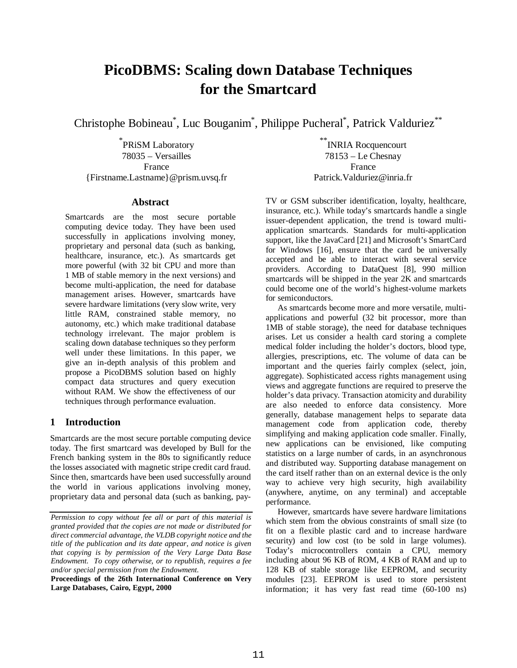# **PicoDBMS: Scaling down Database Techniques for the Smartcard**

Christophe Bobineau<sup>\*</sup>, Luc Bouganim<sup>\*</sup>, Philippe Pucheral<sup>\*</sup>, Patrick Valduriez<sup>\*\*</sup>

PRISM Laboratory 78035 – Versailles 78153 – Le Chesnay France France **France** {Firstname.Lastname}@prism.uvsq.fr Patrick.Valduriez@inria.fr

#### **Abstract**

Smartcards are the most secure portable computing device today. They have been used successfully in applications involving money, proprietary and personal data (such as banking, healthcare, insurance, etc.). As smartcards get more powerful (with 32 bit CPU and more than 1 MB of stable memory in the next versions) and become multi-application, the need for database management arises. However, smartcards have severe hardware limitations (very slow write, very little RAM, constrained stable memory, no autonomy, etc.) which make traditional database technology irrelevant. The major problem is scaling down database techniques so they perform well under these limitations. In this paper, we give an in-depth analysis of this problem and propose a PicoDBMS solution based on highly compact data structures and query execution without RAM. We show the effectiveness of our techniques through performance evaluation.

# **1 Introduction**

Smartcards are the most secure portable computing device today. The first smartcard was developed by Bull for the French banking system in the 80s to significantly reduce the losses associated with magnetic stripe credit card fraud. Since then, smartcards have been used successfully around the world in various applications involving money, proprietary data and personal data (such as banking, pay\*\*INRIA Rocquencourt

TV or GSM subscriber identification, loyalty, healthcare, insurance, etc.). While today's smartcards handle a single issuer-dependent application, the trend is toward multiapplication smartcards. Standards for multi-application support, like the JavaCard [21] and Microsoft's SmartCard for Windows [16], ensure that the card be universally accepted and be able to interact with several service providers. According to DataQuest [8], 990 million smartcards will be shipped in the year 2K and smartcards could become one of the world's highest-volume markets for semiconductors.

As smartcards become more and more versatile, multiapplications and powerful (32 bit processor, more than 1MB of stable storage), the need for database techniques arises. Let us consider a health card storing a complete medical folder including the holder's doctors, blood type, allergies, prescriptions, etc. The volume of data can be important and the queries fairly complex (select, join, aggregate). Sophisticated access rights management using views and aggregate functions are required to preserve the holder's data privacy. Transaction atomicity and durability are also needed to enforce data consistency. More generally, database management helps to separate data management code from application code, thereby simplifying and making application code smaller. Finally, new applications can be envisioned, like computing statistics on a large number of cards, in an asynchronous and distributed way. Supporting database management on the card itself rather than on an external device is the only way to achieve very high security, high availability (anywhere, anytime, on any terminal) and acceptable performance.

However, smartcards have severe hardware limitations which stem from the obvious constraints of small size (to fit on a flexible plastic card and to increase hardware security) and low cost (to be sold in large volumes). Today's microcontrollers contain a CPU, memory including about 96 KB of ROM, 4 KB of RAM and up to 128 KB of stable storage like EEPROM, and security modules [23]. EEPROM is used to store persistent information; it has very fast read time (60-100 ns)

*Permission to copy without fee all or part of this material is granted provided that the copies are not made or distributed for direct commercial advantage, the VLDB copyright notice and the title of the publication and its date appear, and notice is given that copying is by permission of the Very Large Data Base Endowment. To copy otherwise, or to republish, requires a fee and/or special permission from the Endowment.* 

**Proceedings of the 26th International Conference on Very Large Databases, Cairo, Egypt, 2000**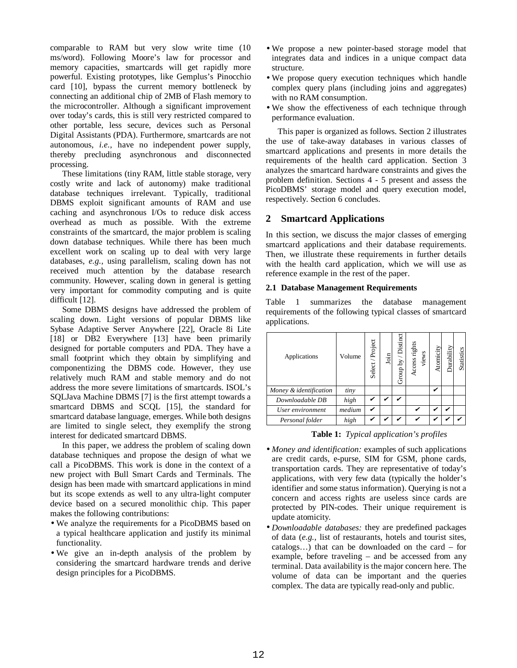comparable to RAM but very slow write time (10 ms/word). Following Moore's law for processor and memory capacities, smartcards will get rapidly more powerful. Existing prototypes, like Gemplus's Pinocchio card [10], bypass the current memory bottleneck by connecting an additional chip of 2MB of Flash memory to the microcontroller. Although a significant improvement over today's cards, this is still very restricted compared to other portable, less secure, devices such as Personal Digital Assistants (PDA). Furthermore, smartcards are not autonomous, *i.e.,* have no independent power supply, thereby precluding asynchronous and disconnected processing.

These limitations (tiny RAM, little stable storage, very costly write and lack of autonomy) make traditional database techniques irrelevant. Typically, traditional DBMS exploit significant amounts of RAM and use caching and asynchronous I/Os to reduce disk access overhead as much as possible. With the extreme constraints of the smartcard, the major problem is scaling down database techniques. While there has been much excellent work on scaling up to deal with very large databases, *e.g.,* using parallelism, scaling down has not received much attention by the database research community. However, scaling down in general is getting very important for commodity computing and is quite difficult [12].

Some DBMS designs have addressed the problem of scaling down. Light versions of popular DBMS like Sybase Adaptive Server Anywhere [22], Oracle 8i Lite [18] or DB2 Everywhere [13] have been primarily designed for portable computers and PDA. They have a small footprint which they obtain by simplifying and componentizing the DBMS code. However, they use relatively much RAM and stable memory and do not address the more severe limitations of smartcards. ISOL's SQLJava Machine DBMS [7] is the first attempt towards a smartcard DBMS and SCQL [15], the standard for smartcard database language, emerges. While both designs are limited to single select, they exemplify the strong interest for dedicated smartcard DBMS.

In this paper, we address the problem of scaling down database techniques and propose the design of what we call a PicoDBMS. This work is done in the context of a new project with Bull Smart Cards and Terminals. The design has been made with smartcard applications in mind but its scope extends as well to any ultra-light computer device based on a secured monolithic chip. This paper makes the following contributions:

- We analyze the requirements for a PicoDBMS based on a typical healthcare application and justify its minimal functionality.
- We give an in-depth analysis of the problem by considering the smartcard hardware trends and derive design principles for a PicoDBMS.
- We propose a new pointer-based storage model that integrates data and indices in a unique compact data structure.
- We propose query execution techniques which handle complex query plans (including joins and aggregates) with no RAM consumption.
- We show the effectiveness of each technique through performance evaluation.

This paper is organized as follows. Section 2 illustrates the use of take-away databases in various classes of smartcard applications and presents in more details the requirements of the health card application. Section 3 analyzes the smartcard hardware constraints and gives the problem definition. Sections 4 - 5 present and assess the PicoDBMS' storage model and query execution model, respectively. Section 6 concludes.

# **2 Smartcard Applications**

In this section, we discuss the major classes of emerging smartcard applications and their database requirements. Then, we illustrate these requirements in further details with the health card application, which we will use as reference example in the rest of the paper.

## **2.1 Database Management Requirements**

Table 1 summarizes the database management requirements of the following typical classes of smartcard applications.

| Applications           | Volume | Select / Project | Join | Group by / Distinct | Access rights<br>views | Atomicit | Jurability | Statistics |
|------------------------|--------|------------------|------|---------------------|------------------------|----------|------------|------------|
| Money & identification | tiny   |                  |      |                     |                        |          |            |            |
| Downloadable DB        | high   |                  |      |                     |                        |          |            |            |
| User environment       | medium |                  |      |                     |                        |          |            |            |
| Personal folder        | high   |                  |      |                     |                        |          |            |            |

**Table 1:** *Typical application's profiles* 

- *Money and identification:* examples of such applications are credit cards, e-purse, SIM for GSM, phone cards, transportation cards. They are representative of today's applications, with very few data (typically the holder's identifier and some status information). Querying is not a concern and access rights are useless since cards are protected by PIN-codes. Their unique requirement is update atomicity.
- *Downloadable databases:* they are predefined packages of data (*e.g.,* list of restaurants, hotels and tourist sites, catalogs…) that can be downloaded on the card – for example, before traveling – and be accessed from any terminal. Data availability is the major concern here. The volume of data can be important and the queries complex. The data are typically read-only and public.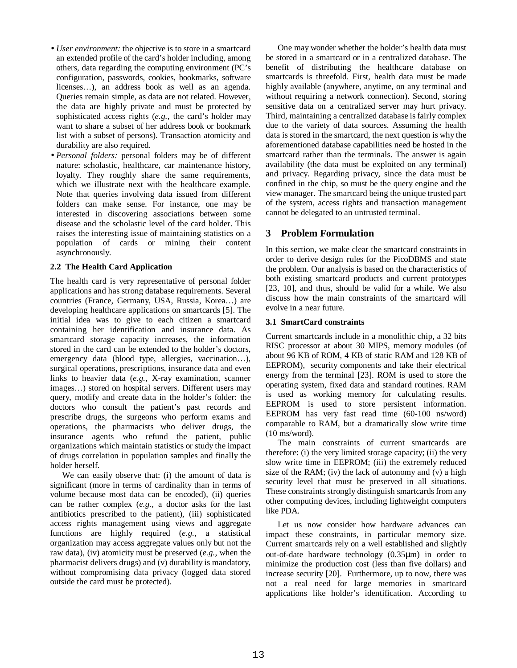- *User environment:* the objective is to store in a smartcard an extended profile of the card's holder including, among others, data regarding the computing environment (PC's configuration, passwords, cookies, bookmarks, software licenses…), an address book as well as an agenda. Queries remain simple, as data are not related. However, the data are highly private and must be protected by sophisticated access rights (*e.g.,* the card's holder may want to share a subset of her address book or bookmark list with a subset of persons). Transaction atomicity and durability are also required.
- *Personal folders:* personal folders may be of different nature: scholastic, healthcare, car maintenance history, loyalty. They roughly share the same requirements, which we illustrate next with the healthcare example. Note that queries involving data issued from different folders can make sense. For instance, one may be interested in discovering associations between some disease and the scholastic level of the card holder. This raises the interesting issue of maintaining statistics on a population of cards or mining their content asynchronously.

#### **2.2 The Health Card Application**

The health card is very representative of personal folder applications and has strong database requirements. Several countries (France, Germany, USA, Russia, Korea…) are developing healthcare applications on smartcards [5]. The initial idea was to give to each citizen a smartcard containing her identification and insurance data. As smartcard storage capacity increases, the information stored in the card can be extended to the holder's doctors, emergency data (blood type, allergies, vaccination…), surgical operations, prescriptions, insurance data and even links to heavier data (*e.g.,* X-ray examination, scanner images…) stored on hospital servers. Different users may query, modify and create data in the holder's folder: the doctors who consult the patient's past records and prescribe drugs, the surgeons who perform exams and operations, the pharmacists who deliver drugs, the insurance agents who refund the patient, public organizations which maintain statistics or study the impact of drugs correlation in population samples and finally the holder herself.

We can easily observe that: (i) the amount of data is significant (more in terms of cardinality than in terms of volume because most data can be encoded), (ii) queries can be rather complex (*e.g.,* a doctor asks for the last antibiotics prescribed to the patient), (iii) sophisticated access rights management using views and aggregate functions are highly required (*e.g.,* a statistical organization may access aggregate values only but not the raw data), (iv) atomicity must be preserved (*e.g.,* when the pharmacist delivers drugs) and (v) durability is mandatory, without compromising data privacy (logged data stored outside the card must be protected).

One may wonder whether the holder's health data must be stored in a smartcard or in a centralized database. The benefit of distributing the healthcare database on smartcards is threefold. First, health data must be made highly available (anywhere, anytime, on any terminal and without requiring a network connection). Second, storing sensitive data on a centralized server may hurt privacy. Third, maintaining a centralized database is fairly complex due to the variety of data sources. Assuming the health data is stored in the smartcard, the next question is why the aforementioned database capabilities need be hosted in the smartcard rather than the terminals. The answer is again availability (the data must be exploited on any terminal) and privacy. Regarding privacy, since the data must be confined in the chip, so must be the query engine and the view manager. The smartcard being the unique trusted part of the system, access rights and transaction management cannot be delegated to an untrusted terminal.

## **3 Problem Formulation**

In this section, we make clear the smartcard constraints in order to derive design rules for the PicoDBMS and state the problem. Our analysis is based on the characteristics of both existing smartcard products and current prototypes [23, 10], and thus, should be valid for a while. We also discuss how the main constraints of the smartcard will evolve in a near future.

## **3.1 SmartCard constraints**

Current smartcards include in a monolithic chip, a 32 bits RISC processor at about 30 MIPS, memory modules (of about 96 KB of ROM, 4 KB of static RAM and 128 KB of EEPROM), security components and take their electrical energy from the terminal [23]. ROM is used to store the operating system, fixed data and standard routines. RAM is used as working memory for calculating results. EEPROM is used to store persistent information. EEPROM has very fast read time (60-100 ns/word) comparable to RAM, but a dramatically slow write time (10 ms/word).

The main constraints of current smartcards are therefore: (i) the very limited storage capacity; (ii) the very slow write time in EEPROM; (iii) the extremely reduced size of the RAM; (iv) the lack of autonomy and  $(v)$  a high security level that must be preserved in all situations. These constraints strongly distinguish smartcards from any other computing devices, including lightweight computers like PDA.

Let us now consider how hardware advances can impact these constraints, in particular memory size. Current smartcards rely on a well established and slightly out-of-date hardware technology (0.35µm) in order to minimize the production cost (less than five dollars) and increase security [20]. Furthermore, up to now, there was not a real need for large memories in smartcard applications like holder's identification. According to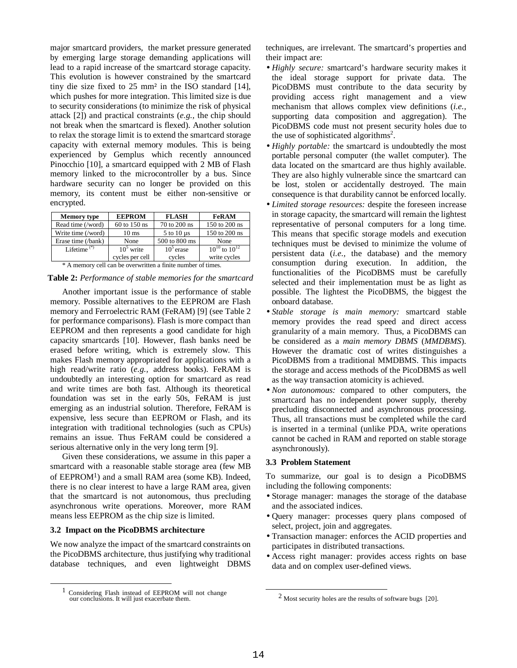major smartcard providers, the market pressure generated by emerging large storage demanding applications will lead to a rapid increase of the smartcard storage capacity. This evolution is however constrained by the smartcard tiny die size fixed to 25 mm² in the ISO standard [14], which pushes for more integration. This limited size is due to security considerations (to minimize the risk of physical attack [2]) and practical constraints (*e.g.,* the chip should not break when the smartcard is flexed). Another solution to relax the storage limit is to extend the smartcard storage capacity with external memory modules. This is being experienced by Gemplus which recently announced Pinocchio [10], a smartcard equipped with 2 MB of Flash memory linked to the microcontroller by a bus. Since hardware security can no longer be provided on this memory, its content must be either non-sensitive or encrypted.

| <b>Memory type</b> | <b>EEPROM</b>   | <b>FLASH</b>      | <b>FeRAM</b>           |
|--------------------|-----------------|-------------------|------------------------|
| Read time (/word)  | 60 to 150 ns    | 70 to 200 ns      | 150 to 200 ns          |
| Write time (/word) | $10 \text{ ms}$ | $5$ to $10 \mu s$ | 150 to 200 ns          |
| Erase time (/bank) | None            | 500 to 800 ms     | None                   |
| Lifetime $(*)$     | $105$ write     | $105$ erase       | $10^{10}$ to $10^{12}$ |
|                    | cycles per cell | cycles            | write cycles           |

\* A memory cell can be overwritten a finite number of times.

#### **Table 2:** *Performance of stable memories for the smartcard*

Another important issue is the performance of stable memory. Possible alternatives to the EEPROM are Flash memory and Ferroelectric RAM (FeRAM) [9] (see Table 2 for performance comparisons). Flash is more compact than EEPROM and then represents a good candidate for high capacity smartcards [10]. However, flash banks need be erased before writing, which is extremely slow. This makes Flash memory appropriated for applications with a high read/write ratio (*e.g.,* address books). FeRAM is undoubtedly an interesting option for smartcard as read and write times are both fast. Although its theoretical foundation was set in the early 50s, FeRAM is just emerging as an industrial solution. Therefore, FeRAM is expensive, less secure than EEPROM or Flash, and its integration with traditional technologies (such as CPUs) remains an issue. Thus FeRAM could be considered a serious alternative only in the very long term [9].

Given these considerations, we assume in this paper a smartcard with a reasonable stable storage area (few MB of  $EEPROM<sup>1</sup>$ ) and a small RAM area (some KB). Indeed, there is no clear interest to have a large RAM area, given that the smartcard is not autonomous, thus precluding asynchronous write operations. Moreover, more RAM means less EEPROM as the chip size is limited.

### **3.2 Impact on the PicoDBMS architecture**

We now analyze the impact of the smartcard constraints on the PicoDBMS architecture, thus justifying why traditional database techniques, and even lightweight DBMS techniques, are irrelevant. The smartcard's properties and their impact are:

- *Highly secure:* smartcard's hardware security makes it the ideal storage support for private data. The PicoDBMS must contribute to the data security by providing access right management and a view mechanism that allows complex view definitions (*i.e.,* supporting data composition and aggregation). The PicoDBMS code must not present security holes due to the use of sophisticated algorithms<sup>2</sup>.
- *Highly portable:* the smartcard is undoubtedly the most portable personal computer (the wallet computer). The data located on the smartcard are thus highly available. They are also highly vulnerable since the smartcard can be lost, stolen or accidentally destroyed. The main consequence is that durability cannot be enforced locally.
- *Limited storage resources:* despite the foreseen increase in storage capacity, the smartcard will remain the lightest representative of personal computers for a long time. This means that specific storage models and execution techniques must be devised to minimize the volume of persistent data (*i.e.,* the database) and the memory consumption during execution. In addition, the functionalities of the PicoDBMS must be carefully selected and their implementation must be as light as possible. The lightest the PicoDBMS, the biggest the onboard database.
- *Stable storage is main memory:* smartcard stable memory provides the read speed and direct access granularity of a main memory. Thus, a PicoDBMS can be considered as a *main memory DBMS* (*MMDBMS*). However the dramatic cost of writes distinguishes a PicoDBMS from a traditional MMDBMS. This impacts the storage and access methods of the PicoDBMS as well as the way transaction atomicity is achieved.
- *Non autonomous:* compared to other computers, the smartcard has no independent power supply, thereby precluding disconnected and asynchronous processing. Thus, all transactions must be completed while the card is inserted in a terminal (unlike PDA, write operations cannot be cached in RAM and reported on stable storage asynchronously).

#### **3.3 Problem Statement**

To summarize, our goal is to design a PicoDBMS including the following components:

- Storage manager: manages the storage of the database and the associated indices.
- Query manager: processes query plans composed of select, project, join and aggregates.
- Transaction manager: enforces the ACID properties and participates in distributed transactions.
- Access right manager: provides access rights on base data and on complex user-defined views.

 <sup>1</sup> Considering Flash instead of EEPROM will not change our conclusions. It will just exacerbate them.

 <sup>2</sup> Most security holes are the results of software bugs [20].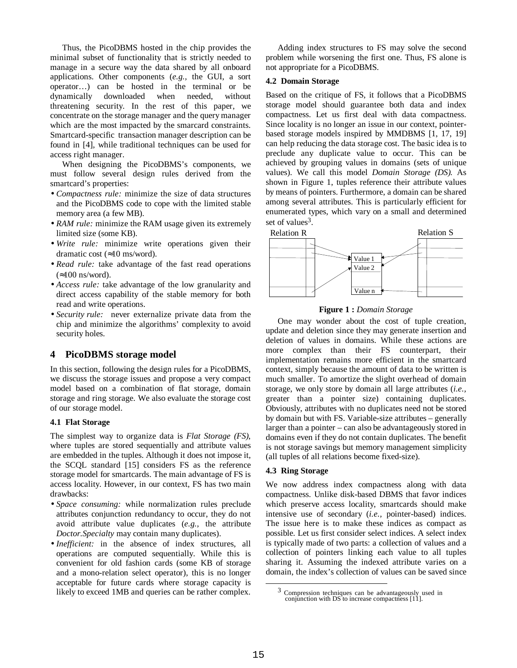Thus, the PicoDBMS hosted in the chip provides the minimal subset of functionality that is strictly needed to manage in a secure way the data shared by all onboard applications. Other components (*e.g.,* the GUI, a sort operator…) can be hosted in the terminal or be dynamically downloaded when needed, without threatening security. In the rest of this paper, we concentrate on the storage manager and the query manager which are the most impacted by the smarcard constraints. Smartcard-specific transaction manager description can be found in [4], while traditional techniques can be used for access right manager.

When designing the PicoDBMS's components, we must follow several design rules derived from the smartcard's properties:

- *Compactness rule:* minimize the size of data structures and the PicoDBMS code to cope with the limited stable memory area (a few MB).
- *RAM rule:* minimize the RAM usage given its extremely limited size (some KB).
- *Write rule:* minimize write operations given their dramatic cost  $(\approx 10 \text{ ms/word}).$
- *Read rule:* take advantage of the fast read operations  $\approx 100$  ns/word).
- *Access rule:* take advantage of the low granularity and direct access capability of the stable memory for both read and write operations.
- *Security rule:* never externalize private data from the chip and minimize the algorithms' complexity to avoid security holes.

## **4 PicoDBMS storage model**

In this section, following the design rules for a PicoDBMS, we discuss the storage issues and propose a very compact model based on a combination of flat storage, domain storage and ring storage. We also evaluate the storage cost of our storage model.

#### **4.1 Flat Storage**

The simplest way to organize data is *Flat Storage (FS)*, where tuples are stored sequentially and attribute values are embedded in the tuples. Although it does not impose it, the SCQL standard [15] considers FS as the reference storage model for smartcards. The main advantage of FS is access locality. However, in our context, FS has two main drawbacks:

- *Space consuming:* while normalization rules preclude attributes conjunction redundancy to occur, they do not avoid attribute value duplicates (*e.g.,* the attribute *Doctor.Specialty* may contain many duplicates).
- *Inefficient:* in the absence of index structures, all operations are computed sequentially. While this is convenient for old fashion cards (some KB of storage and a mono-relation select operator), this is no longer acceptable for future cards where storage capacity is likely to exceed 1MB and queries can be rather complex.

Adding index structures to FS may solve the second problem while worsening the first one. Thus, FS alone is not appropriate for a PicoDBMS.

#### **4.2 Domain Storage**

Based on the critique of FS, it follows that a PicoDBMS storage model should guarantee both data and index compactness. Let us first deal with data compactness. Since locality is no longer an issue in our context, pointerbased storage models inspired by MMDBMS [1, 17, 19] can help reducing the data storage cost. The basic idea is to preclude any duplicate value to occur. This can be achieved by grouping values in domains (sets of unique values). We call this model *Domain Storage (DS).* As shown in Figure 1, tuples reference their attribute values by means of pointers. Furthermore, a domain can be shared among several attributes. This is particularly efficient for enumerated types, which vary on a small and determined set of values<sup>3</sup>.



#### **Figure 1 :** *Domain Storage*

One may wonder about the cost of tuple creation, update and deletion since they may generate insertion and deletion of values in domains. While these actions are more complex than their FS counterpart, their implementation remains more efficient in the smartcard context, simply because the amount of data to be written is much smaller. To amortize the slight overhead of domain storage, we only store by domain all large attributes (*i.e.,* greater than a pointer size) containing duplicates. Obviously, attributes with no duplicates need not be stored by domain but with FS. Variable-size attributes – generally larger than a pointer – can also be advantageously stored in domains even if they do not contain duplicates. The benefit is not storage savings but memory management simplicity (all tuples of all relations become fixed-size).

#### **4.3 Ring Storage**

We now address index compactness along with data compactness. Unlike disk-based DBMS that favor indices which preserve access locality, smartcards should make intensive use of secondary (*i.e.,* pointer-based) indices. The issue here is to make these indices as compact as possible. Let us first consider select indices. A select index is typically made of two parts: a collection of values and a collection of pointers linking each value to all tuples sharing it. Assuming the indexed attribute varies on a domain, the index's collection of values can be saved since

 $\frac{3}{3}$  Compression techniques can be advantageously used in conjunction with DS to increase compactness [11].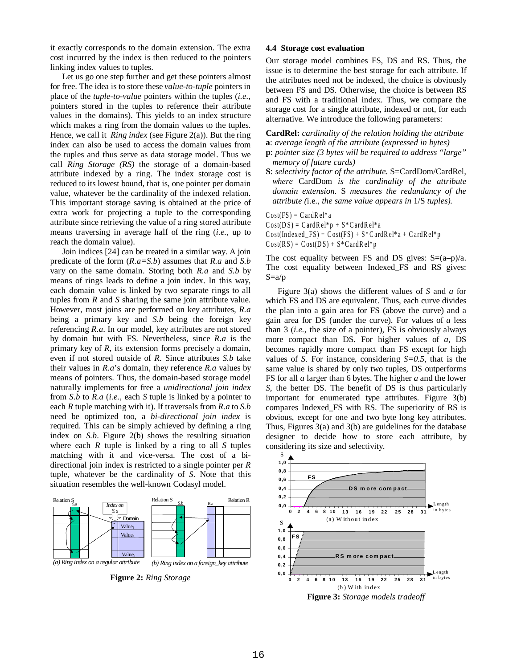it exactly corresponds to the domain extension. The extra cost incurred by the index is then reduced to the pointers linking index values to tuples.

Let us go one step further and get these pointers almost for free. The idea is to store these *value-to-tuple* pointers in place of the *tuple-to-value* pointers within the tuples (*i.e.,* pointers stored in the tuples to reference their attribute values in the domains). This yields to an index structure which makes a ring from the domain values to the tuples. Hence, we call it *Ring index* (see Figure 2(a)). But the ring index can also be used to access the domain values from the tuples and thus serve as data storage model. Thus we call *Ring Storage (RS)* the storage of a domain-based attribute indexed by a ring. The index storage cost is reduced to its lowest bound, that is, one pointer per domain value, whatever be the cardinality of the indexed relation. This important storage saving is obtained at the price of extra work for projecting a tuple to the corresponding attribute since retrieving the value of a ring stored attribute means traversing in average half of the ring (*i.e.,* up to reach the domain value).

Join indices [24] can be treated in a similar way. A join predicate of the form (*R.a=S.b*) assumes that *R.a* and *S.b* vary on the same domain. Storing both *R.a* and *S.b* by means of rings leads to define a join index. In this way, each domain value is linked by two separate rings to all tuples from *R* and *S* sharing the same join attribute value. However, most joins are performed on key attributes, *R.a* being a primary key and *S.b* being the foreign key referencing *R.a*. In our model, key attributes are not stored by domain but with FS. Nevertheless, since *R.a* is the primary key of *R*, its extension forms precisely a domain, even if not stored outside of *R*. Since attributes *S.b* take their values in *R.a*'s domain, they reference *R.a* values by means of pointers. Thus, the domain-based storage model naturally implements for free a *unidirectional join index* from *S.b* to *R.a* (*i.e.,* each *S* tuple is linked by a pointer to each *R* tuple matching with it). If traversals from *R.a* to *S.b* need be optimized too, a *bi-directional join index* is required. This can be simply achieved by defining a ring index on *S.b*. Figure 2(b) shows the resulting situation where each *R* tuple is linked by a ring to all *S* tuples matching with it and vice-versa. The cost of a bidirectional join index is restricted to a single pointer per *R* tuple, whatever be the cardinality of *S*. Note that this situation resembles the well-known Codasyl model.



**Figure 2:** *Ring Storage*

#### **4.4 Storage cost evaluation**

Our storage model combines FS, DS and RS. Thus, the issue is to determine the best storage for each attribute. If the attributes need not be indexed, the choice is obviously between FS and DS. Otherwise, the choice is between RS and FS with a traditional index. Thus, we compare the storage cost for a single attribute, indexed or not, for each alternative. We introduce the following parameters:

**CardRel:** *cardinality of the relation holding the attribute*  **a**: *average length of the attribute (expressed in bytes)* 

- **p**: *pointer size (3 bytes will be required to address "large" memory of future cards)*
- **S**: *selectivity factor of the attribute.* S=CardDom/CardRel*, where* CardDom *is the cardinality of the attribute domain extension.* S *measures the redundancy of the attribute (*i.e., *the same value appears in* 1/S *tuples).*

 $Cost(FS) = CardRel^*a$  $Cost(D S) = CardReI * p + S * CardReI * a$  $Cost(Indexed_FS) = Cost(FS) + S*CardRel*a + CardRel*p$  $Cost(R S) = Cost(D S) + S*CardRel* p$ 

The cost equality between FS and DS gives:  $S=(a-p)/a$ . The cost equality between Indexed\_FS and RS gives:  $S=a/p$ 

Figure 3(a) shows the different values of *S* and *a* for which FS and DS are equivalent. Thus, each curve divides the plan into a gain area for FS (above the curve) and a gain area for DS (under the curve). For values of *a* less than 3 (*i.e.,* the size of a pointer), FS is obviously always more compact than DS. For higher values of *a*, DS becomes rapidly more compact than FS except for high values of *S*. For instance, considering *S=0.5*, that is the same value is shared by only two tuples, DS outperforms FS for all *a* larger than 6 bytes. The higher *a* and the lower *S*, the better DS. The benefit of DS is thus particularly important for enumerated type attributes. Figure 3(b) compares Indexed\_FS with RS. The superiority of RS is obvious, except for one and two byte long key attributes. Thus, Figures 3(a) and 3(b) are guidelines for the database designer to decide how to store each attribute, by considering its size and selectivity.

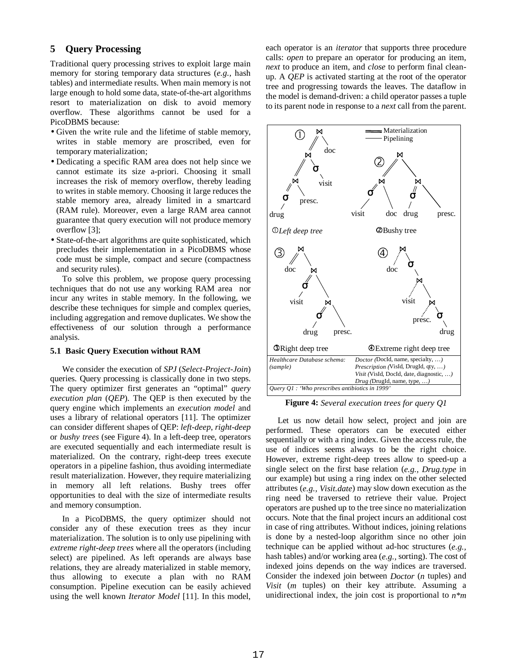## **5 Query Processing**

Traditional query processing strives to exploit large main memory for storing temporary data structures (*e.g.,* hash tables) and intermediate results. When main memory is not large enough to hold some data, state-of-the-art algorithms resort to materialization on disk to avoid memory overflow. These algorithms cannot be used for a PicoDBMS because:

- Given the write rule and the lifetime of stable memory, writes in stable memory are proscribed, even for temporary materialization;
- Dedicating a specific RAM area does not help since we cannot estimate its size a-priori. Choosing it small increases the risk of memory overflow, thereby leading to writes in stable memory. Choosing it large reduces the stable memory area, already limited in a smartcard (RAM rule). Moreover, even a large RAM area cannot guarantee that query execution will not produce memory overflow [3];
- State-of-the-art algorithms are quite sophisticated, which precludes their implementation in a PicoDBMS whose code must be simple, compact and secure (compactness and security rules).

To solve this problem, we propose query processing techniques that do not use any working RAM area nor incur any writes in stable memory. In the following, we describe these techniques for simple and complex queries, including aggregation and remove duplicates. We show the effectiveness of our solution through a performance analysis.

#### **5.1 Basic Query Execution without RAM**

We consider the execution of *SPJ* (*Select-Project-Join*) queries. Query processing is classically done in two steps. The query optimizer first generates an "optimal" *query execution plan* (*QEP*). The QEP is then executed by the query engine which implements an *execution model* and uses a library of relational operators [11]. The optimizer can consider different shapes of QEP: *left-deep*, *right-deep* or *bushy trees* (see Figure 4). In a left-deep tree, operators are executed sequentially and each intermediate result is materialized. On the contrary, right-deep trees execute operators in a pipeline fashion, thus avoiding intermediate result materialization. However, they require materializing in memory all left relations. Bushy trees offer opportunities to deal with the size of intermediate results and memory consumption.

In a PicoDBMS, the query optimizer should not consider any of these execution trees as they incur materialization. The solution is to only use pipelining with *extreme right-deep trees* where all the operators (including select) are pipelined. As left operands are always base relations, they are already materialized in stable memory, thus allowing to execute a plan with no RAM consumption. Pipeline execution can be easily achieved using the well known *Iterator Model* [11]. In this model, each operator is an *iterator* that supports three procedure calls: *open* to prepare an operator for producing an item, *next* to produce an item, and *close* to perform final cleanup. A *QEP* is activated starting at the root of the operator tree and progressing towards the leaves. The dataflow in the model is demand-driven: a child operator passes a tuple to its parent node in response to a *next* call from the parent.



**Figure 4:** *Several execution trees for query Q1* 

Let us now detail how select, project and join are performed. These operators can be executed either sequentially or with a ring index. Given the access rule, the use of indices seems always to be the right choice. However, extreme right-deep trees allow to speed-up a single select on the first base relation (*e.g., Drug.type* in our example) but using a ring index on the other selected attributes (*e.g., Visit.date*) may slow down execution as the ring need be traversed to retrieve their value. Project operators are pushed up to the tree since no materialization occurs. Note that the final project incurs an additional cost in case of ring attributes. Without indices, joining relations is done by a nested-loop algorithm since no other join technique can be applied without ad-hoc structures (*e.g.,*  hash tables) and/or working area (*e.g.,* sorting). The cost of indexed joins depends on the way indices are traversed. Consider the indexed join between *Doctor* (*n* tuples) and *Visit* (*m* tuples) on their key attribute. Assuming a unidirectional index, the join cost is proportional to *n\*m*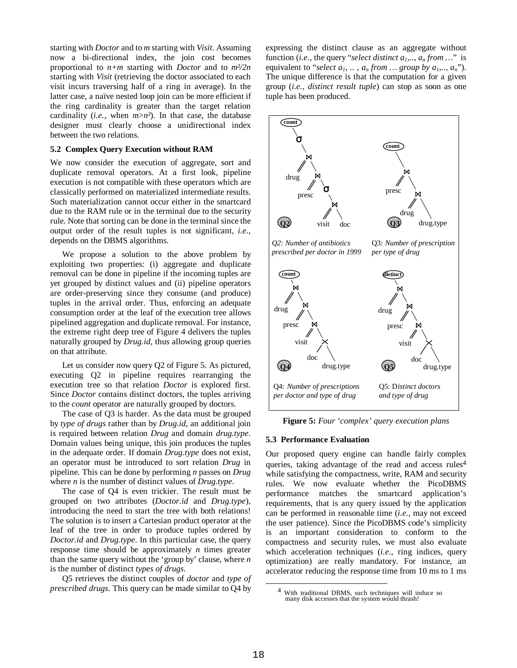starting with *Doctor* and to *m* starting with *Visit*. Assuming now a bi-directional index, the join cost becomes proportional to *n+m* starting with *Doctor* and to *m²/2n* starting with *Visit* (retrieving the doctor associated to each visit incurs traversing half of a ring in average). In the latter case, a naïve nested loop join can be more efficient if the ring cardinality is greater than the target relation cardinality (*i.e.*, when  $m>n^2$ ). In that case, the database designer must clearly choose a unidirectional index between the two relations.

#### **5.2 Complex Query Execution without RAM**

We now consider the execution of aggregate, sort and duplicate removal operators. At a first look, pipeline execution is not compatible with these operators which are classically performed on materialized intermediate results. Such materialization cannot occur either in the smartcard due to the RAM rule or in the terminal due to the security rule. Note that sorting can be done in the terminal since the output order of the result tuples is not significant, *i.e.,* depends on the DBMS algorithms.

We propose a solution to the above problem by exploiting two properties: (i) aggregate and duplicate removal can be done in pipeline if the incoming tuples are yet grouped by distinct values and (ii) pipeline operators are order-preserving since they consume (and produce) tuples in the arrival order. Thus, enforcing an adequate consumption order at the leaf of the execution tree allows pipelined aggregation and duplicate removal. For instance, the extreme right deep tree of Figure 4 delivers the tuples naturally grouped by *Drug.id*, thus allowing group queries on that attribute.

Let us consider now query Q2 of Figure 5. As pictured, executing Q2 in pipeline requires rearranging the execution tree so that relation *Doctor* is explored first. Since *Doctor* contains distinct doctors, the tuples arriving to the *count* operator are naturally grouped by doctors.

The case of Q3 is harder. As the data must be grouped by *type of drugs* rather than by *Drug.id*, an additional join is required between relation *Drug* and domain *drug.type*. Domain values being unique, this join produces the tuples in the adequate order. If domain *Drug.type* does not exist, an operator must be introduced to sort relation *Drug* in pipeline*.* This can be done by performing *n* passes on *Drug*  where *n* is the number of distinct values of *Drug.type*.

The case of Q4 is even trickier. The result must be grouped on two attributes (*Doctor.id* and *Drug.type*), introducing the need to start the tree with both relations! The solution is to insert a Cartesian product operator at the leaf of the tree in order to produce tuples ordered by *Doctor.id* and *Drug.type*. In this particular case, the query response time should be approximately *n* times greater than the same query without the 'group by' clause, where *n* is the number of distinct *types of drugs*.

Q5 retrieves the distinct couples of *doctor* and *type of prescribed drugs*. This query can be made similar to Q4 by

expressing the distinct clause as an aggregate without function (*i.e.*, the query "*select distinct*  $a_1, \ldots, a_n$  *from ...*" is equivalent to "*select*  $a_1$ , ...,  $a_n$  *from* ... *group by*  $a_1$ ,..,  $a_n$ "). The unique difference is that the computation for a given group (*i.e., distinct result tuple*) can stop as soon as one tuple has been produced.



**Figure 5:** *Four 'complex' query execution plans* 

#### **5.3 Performance Evaluation**

Our proposed query engine can handle fairly complex queries, taking advantage of the read and access rules<sup>4</sup> while satisfying the compactness, write, RAM and security rules. We now evaluate whether the PicoDBMS performance matches the smartcard application's requirements, that is any query issued by the application can be performed in reasonable time (*i.e.,* may not exceed the user patience). Since the PicoDBMS code's simplicity is an important consideration to conform to the compactness and security rules, we must also evaluate which acceleration techniques (*i.e.,* ring indices, query optimization) are really mandatory. For instance, an accelerator reducing the response time from 10 ms to 1 ms

 <sup>4</sup> With traditional DBMS, such techniques will induce so many disk accesses that the system would thrash!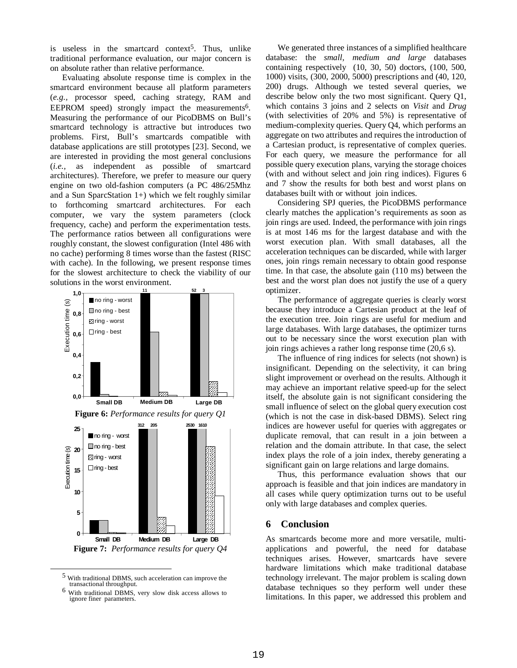is useless in the smartcard context<sup>5</sup>. Thus, unlike traditional performance evaluation, our major concern is on absolute rather than relative performance.

Evaluating absolute response time is complex in the smartcard environment because all platform parameters (*e.g.,* processor speed, caching strategy, RAM and EEPROM speed) strongly impact the measurements<sup>6</sup>. Measuring the performance of our PicoDBMS on Bull's smartcard technology is attractive but introduces two problems. First, Bull's smartcards compatible with database applications are still prototypes [23]. Second, we are interested in providing the most general conclusions (*i.e.,* as independent as possible of smartcard architectures). Therefore, we prefer to measure our query engine on two old-fashion computers (a PC 486/25Mhz and a Sun SparcStation  $1+$ ) which we felt roughly similar to forthcoming smartcard architectures. For each computer, we vary the system parameters (clock frequency, cache) and perform the experimentation tests. The performance ratios between all configurations were roughly constant, the slowest configuration (Intel 486 with no cache) performing 8 times worse than the fastest (RISC with cache). In the following, we present response times for the slowest architecture to check the viability of our solutions in the worst environment.



**Figure 7:** *Performance results for query Q4*

We generated three instances of a simplified healthcare database: the *small, medium and large* databases containing respectively (10, 30, 50) doctors, (100, 500, 1000) visits, (300, 2000, 5000) prescriptions and (40, 120, 200) drugs. Although we tested several queries, we describe below only the two most significant. Query Q1, which contains 3 joins and 2 selects on *Visit* and *Drug* (with selectivities of 20% and 5%) is representative of medium-complexity queries. Query Q4, which performs an aggregate on two attributes and requires the introduction of a Cartesian product, is representative of complex queries. For each query, we measure the performance for all possible query execution plans, varying the storage choices (with and without select and join ring indices). Figures 6 and 7 show the results for both best and worst plans on databases built with or without join indices.

Considering SPJ queries, the PicoDBMS performance clearly matches the application's requirements as soon as join rings are used. Indeed, the performance with join rings is at most 146 ms for the largest database and with the worst execution plan. With small databases, all the acceleration techniques can be discarded, while with larger ones, join rings remain necessary to obtain good response time. In that case, the absolute gain (110 ms) between the best and the worst plan does not justify the use of a query optimizer.

The performance of aggregate queries is clearly worst because they introduce a Cartesian product at the leaf of the execution tree. Join rings are useful for medium and large databases. With large databases, the optimizer turns out to be necessary since the worst execution plan with join rings achieves a rather long response time (20,6 s).

The influence of ring indices for selects (not shown) is insignificant. Depending on the selectivity, it can bring slight improvement or overhead on the results. Although it may achieve an important relative speed-up for the select itself, the absolute gain is not significant considering the small influence of select on the global query execution cost (which is not the case in disk-based DBMS). Select ring indices are however useful for queries with aggregates or duplicate removal, that can result in a join between a relation and the domain attribute. In that case, the select index plays the role of a join index, thereby generating a significant gain on large relations and large domains.

Thus, this performance evaluation shows that our approach is feasible and that join indices are mandatory in all cases while query optimization turns out to be useful only with large databases and complex queries.

## **6 Conclusion**

As smartcards become more and more versatile, multiapplications and powerful, the need for database techniques arises. However, smartcards have severe hardware limitations which make traditional database technology irrelevant. The major problem is scaling down database techniques so they perform well under these limitations. In this paper, we addressed this problem and

 <sup>5</sup> With traditional DBMS, such acceleration can improve the transactional throughput.

<sup>6</sup> With traditional DBMS, very slow disk access allows to ignore finer parameters.